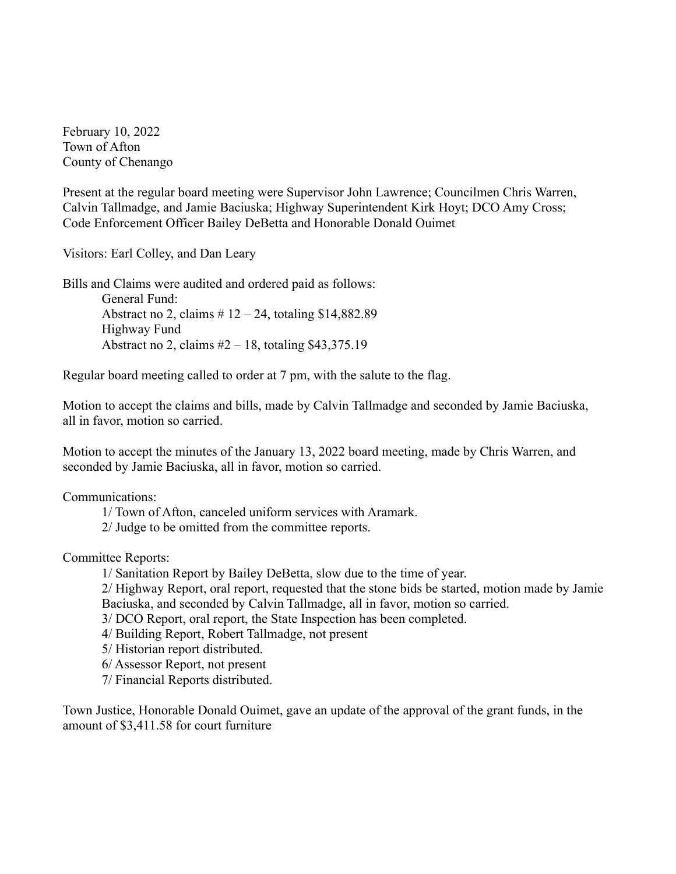February 10, 2022 Town of Afton County of Chenango

Present at the regular board meeting were Supervisor John Lawrence; Councilmen Chris Warren, Calvin Tallmadge, and Jamie Baciuska; Highway Superintendent Kirk Hoyt; DCO Amy Cross; Code Enforcement Officer Bailey DeBetta and Honorable Donald Ouimet

Visitors: Earl Colley, and Dan Leary

Bills and Claims were audited and ordered paid as follows: General Fund:

Abstract no 2, claims  $# 12 - 24$ , totaling \$14,882.89 Highway Fund Abstract no 2, claims  $#2 - 18$ , totaling \$43,375.19

Regular board meeting called to order at 7 pm, with the salute to the flag.

Motion to accept the claims and bills, made by Calvin Tallmadge and seconded by Jamie Baciuska, all in favor, motion so carried.

Motion to accept the minutes of the January 13, 2022 board meeting, made by Chris Warren, and seconded by Jamie Baciuska, all in favor, motion so carried.

Communications:

1/ Town of Afton, canceled uniform services with Aramark.

2/ Judge to be omitted from the committee reports.

Committee Reports:

1/ Sanitation Report by Bailey DeBetta, slow due to the time of year.

2/ Highway Report, oral report, requested that the stone bids be started, motion made by Jamie Baciuska, and seconded by Calvin Tallmadge, all in favor, motion so carried.

3/ DCO Report, oral report, the State Inspection has been completed.

4/ Building Report, Robert Tallmadge, not present

5/ Historian report distributed.

6/ Assessor Report, not present

7/ Financial Reports distributed.

Town Justice, Honorable Donald Ouimet, gave an update of the approval of the grant funds, in the amount of \$3,411.58 for court furniture